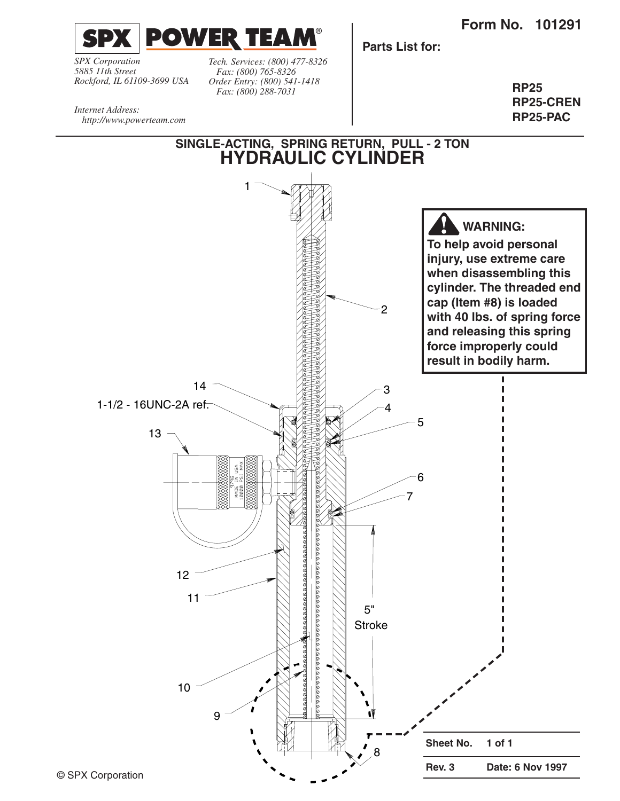**Form No. 101291**



*SPX Corporation 5885 11th Street Rockford, IL 61109-3699 USA*

*Internet Address:* 

*Tech. Services: (800) 477-8326 Fax: (800) 765-8326 Order Entry: (800) 541-1418 Fax: (800) 288-7031*

**Parts List for:**

**RP25 RP25-CREN RP25-PAC**